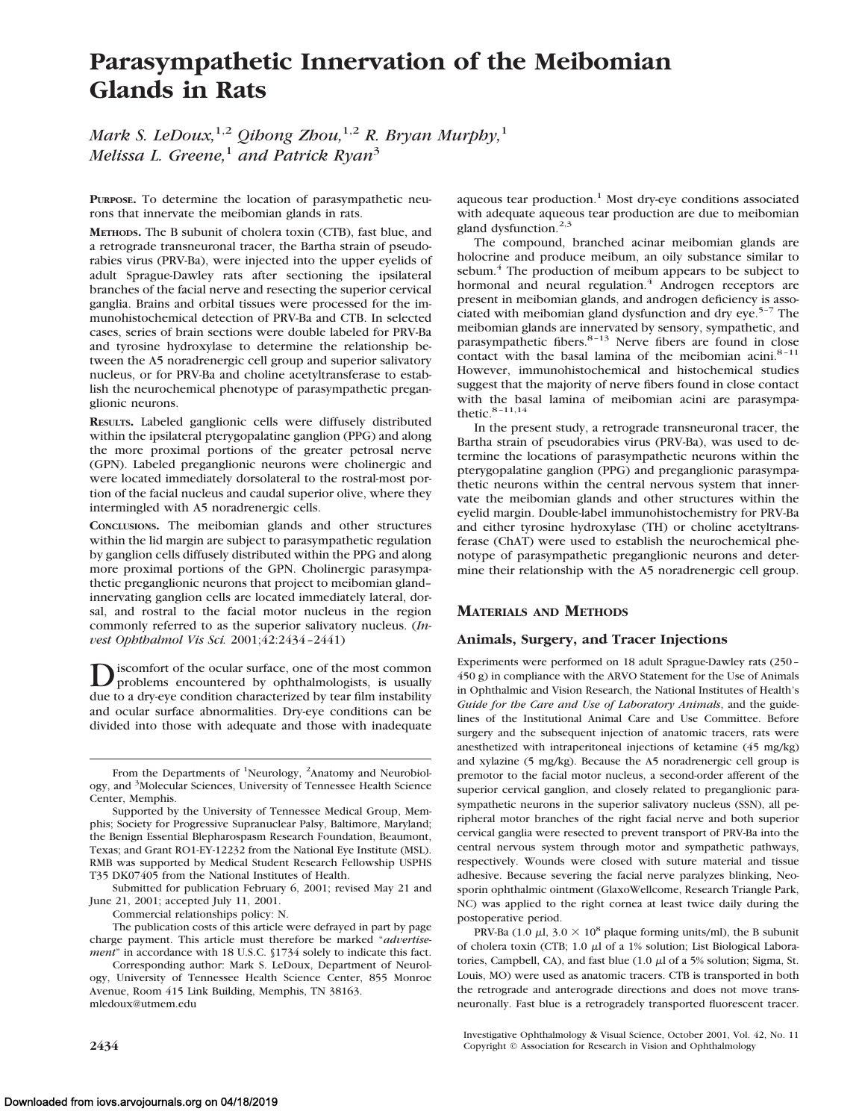# **Parasympathetic Innervation of the Meibomian Glands in Rats**

*Mark S. LeDoux,*1,2 *Qihong Zhou,*1,2 *R. Bryan Murphy,*<sup>1</sup> *Melissa L. Greene,*<sup>1</sup> *and Patrick Ryan*<sup>3</sup>

**PURPOSE.** To determine the location of parasympathetic neurons that innervate the meibomian glands in rats.

**METHODS.** The B subunit of cholera toxin (CTB), fast blue, and a retrograde transneuronal tracer, the Bartha strain of pseudorabies virus (PRV-Ba), were injected into the upper eyelids of adult Sprague-Dawley rats after sectioning the ipsilateral branches of the facial nerve and resecting the superior cervical ganglia. Brains and orbital tissues were processed for the immunohistochemical detection of PRV-Ba and CTB. In selected cases, series of brain sections were double labeled for PRV-Ba and tyrosine hydroxylase to determine the relationship between the A5 noradrenergic cell group and superior salivatory nucleus, or for PRV-Ba and choline acetyltransferase to establish the neurochemical phenotype of parasympathetic preganglionic neurons.

**RESULTS.** Labeled ganglionic cells were diffusely distributed within the ipsilateral pterygopalatine ganglion (PPG) and along the more proximal portions of the greater petrosal nerve (GPN). Labeled preganglionic neurons were cholinergic and were located immediately dorsolateral to the rostral-most portion of the facial nucleus and caudal superior olive, where they intermingled with A5 noradrenergic cells.

**CONCLUSIONS.** The meibomian glands and other structures within the lid margin are subject to parasympathetic regulation by ganglion cells diffusely distributed within the PPG and along more proximal portions of the GPN. Cholinergic parasympathetic preganglionic neurons that project to meibomian gland– innervating ganglion cells are located immediately lateral, dorsal, and rostral to the facial motor nucleus in the region commonly referred to as the superior salivatory nucleus. (*Invest Ophthalmol Vis Sci.* 2001;42:2434–2441)

**D** is<br>problems encountered by ophthalmologists, is usually<br>denoted by the most condition of the state of the initial lines. due to a dry-eye condition characterized by tear film instability and ocular surface abnormalities. Dry-eye conditions can be divided into those with adequate and those with inadequate

Submitted for publication February 6, 2001; revised May 21 and June 21, 2001; accepted July 11, 2001.

Commercial relationships policy: N.

The publication costs of this article were defrayed in part by page charge payment. This article must therefore be marked "*advertisement*" in accordance with 18 U.S.C. §1734 solely to indicate this fact.

Corresponding author: Mark S. LeDoux, Department of Neurology, University of Tennessee Health Science Center, 855 Monroe Avenue, Room 415 Link Building, Memphis, TN 38163. mledoux@utmem.edu

aqueous tear production. $<sup>1</sup>$  Most dry-eye conditions associated</sup> with adequate aqueous tear production are due to meibomian gland dysfunction. $2,3$ 

The compound, branched acinar meibomian glands are holocrine and produce meibum, an oily substance similar to sebum.<sup>4</sup> The production of meibum appears to be subject to hormonal and neural regulation.<sup>4</sup> Androgen receptors are present in meibomian glands, and androgen deficiency is associated with meibomian gland dysfunction and dry  $e^{5-7}$  The meibomian glands are innervated by sensory, sympathetic, and parasympathetic fibers. $8-13$  Nerve fibers are found in close contact with the basal lamina of the meibomian acini.<sup>8-11</sup> However, immunohistochemical and histochemical studies suggest that the majority of nerve fibers found in close contact with the basal lamina of meibomian acini are parasympathetic. $8-11,14$ 

In the present study, a retrograde transneuronal tracer, the Bartha strain of pseudorabies virus (PRV-Ba), was used to determine the locations of parasympathetic neurons within the pterygopalatine ganglion (PPG) and preganglionic parasympathetic neurons within the central nervous system that innervate the meibomian glands and other structures within the eyelid margin. Double-label immunohistochemistry for PRV-Ba and either tyrosine hydroxylase (TH) or choline acetyltransferase (ChAT) were used to establish the neurochemical phenotype of parasympathetic preganglionic neurons and determine their relationship with the A5 noradrenergic cell group.

# **MATERIALS AND METHODS**

## **Animals, Surgery, and Tracer Injections**

Experiments were performed on 18 adult Sprague-Dawley rats (250– 450 g) in compliance with the ARVO Statement for the Use of Animals in Ophthalmic and Vision Research, the National Institutes of Health's *Guide for the Care and Use of Laboratory Animals*, and the guidelines of the Institutional Animal Care and Use Committee. Before surgery and the subsequent injection of anatomic tracers, rats were anesthetized with intraperitoneal injections of ketamine (45 mg/kg) and xylazine (5 mg/kg). Because the A5 noradrenergic cell group is premotor to the facial motor nucleus, a second-order afferent of the superior cervical ganglion, and closely related to preganglionic parasympathetic neurons in the superior salivatory nucleus (SSN), all peripheral motor branches of the right facial nerve and both superior cervical ganglia were resected to prevent transport of PRV-Ba into the central nervous system through motor and sympathetic pathways, respectively. Wounds were closed with suture material and tissue adhesive. Because severing the facial nerve paralyzes blinking, Neosporin ophthalmic ointment (GlaxoWellcome, Research Triangle Park, NC) was applied to the right cornea at least twice daily during the postoperative period.

PRV-Ba (1.0  $\mu$ l, 3.0  $\times$  10<sup>8</sup> plaque forming units/ml), the B subunit of cholera toxin (CTB; 1.0  $\mu$ l of a 1% solution; List Biological Laboratories, Campbell, CA), and fast blue  $(1.0 \mu I)$  of a 5% solution; Sigma, St. Louis, MO) were used as anatomic tracers. CTB is transported in both the retrograde and anterograde directions and does not move transneuronally. Fast blue is a retrogradely transported fluorescent tracer.

Investigative Ophthalmology & Visual Science, October 2001, Vol. 42, No. 11 **2434 Copyright** © Association for Research in Vision and Ophthalmology

From the Departments of <sup>1</sup>Neurology, <sup>2</sup>Anatomy and Neurobiology, and <sup>3</sup>Molecular Sciences, University of Tennessee Health Science Center, Memphis.

Supported by the University of Tennessee Medical Group, Memphis; Society for Progressive Supranuclear Palsy, Baltimore, Maryland; the Benign Essential Blepharospasm Research Foundation, Beaumont, Texas; and Grant RO1-EY-12232 from the National Eye Institute (MSL). RMB was supported by Medical Student Research Fellowship USPHS T35 DK07405 from the National Institutes of Health.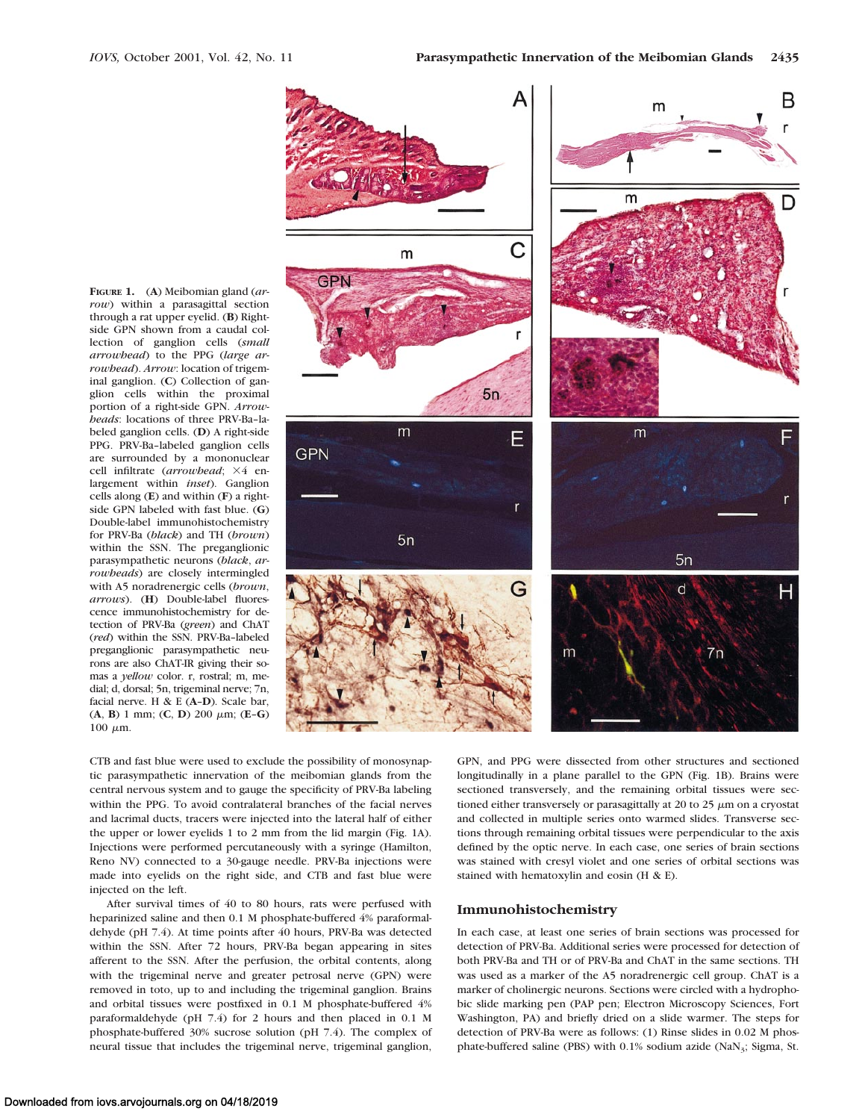**FIGURE 1.** (**A**) Meibomian gland (*arrow*) within a parasagittal section through a rat upper eyelid. (**B**) Rightside GPN shown from a caudal collection of ganglion cells (*small arrowhead*) to the PPG (*large arrowhead*). *Arrow*: location of trigeminal ganglion. (**C**) Collection of ganglion cells within the proximal portion of a right-side GPN. *Arrowheads*: locations of three PRV-Ba–labeled ganglion cells. (**D**) A right-side PPG. PRV-Ba–labeled ganglion cells are surrounded by a mononuclear cell infiltrate (arrowhead;  $\times 4$  enlargement within *inset*). Ganglion cells along (**E**) and within (**F**) a rightside GPN labeled with fast blue. (**G**) Double-label immunohistochemistry for PRV-Ba (*black*) and TH (*brown*) within the SSN. The preganglionic parasympathetic neurons (*black*, *arrowheads*) are closely intermingled with A5 noradrenergic cells (*brown*, *arrows*). (**H**) Double-label fluorescence immunohistochemistry for detection of PRV-Ba (*green*) and ChAT (*red*) within the SSN. PRV-Ba–labeled preganglionic parasympathetic neurons are also ChAT-IR giving their somas a *yellow* color. r, rostral; m, medial; d, dorsal; 5n, trigeminal nerve; 7n, facial nerve.H&E(**A**–**D**). Scale bar,  $(A, B)$  1 mm;  $(C, D)$  200  $\mu$ m;  $(E - G)$ 100  $\mu$ m.



CTB and fast blue were used to exclude the possibility of monosynaptic parasympathetic innervation of the meibomian glands from the central nervous system and to gauge the specificity of PRV-Ba labeling within the PPG. To avoid contralateral branches of the facial nerves and lacrimal ducts, tracers were injected into the lateral half of either the upper or lower eyelids 1 to 2 mm from the lid margin (Fig. 1A). Injections were performed percutaneously with a syringe (Hamilton, Reno NV) connected to a 30-gauge needle. PRV-Ba injections were made into eyelids on the right side, and CTB and fast blue were injected on the left.

After survival times of 40 to 80 hours, rats were perfused with heparinized saline and then 0.1 M phosphate-buffered 4% paraformaldehyde (pH 7.4). At time points after 40 hours, PRV-Ba was detected within the SSN. After 72 hours, PRV-Ba began appearing in sites afferent to the SSN. After the perfusion, the orbital contents, along with the trigeminal nerve and greater petrosal nerve (GPN) were removed in toto, up to and including the trigeminal ganglion. Brains and orbital tissues were postfixed in 0.1 M phosphate-buffered 4% paraformaldehyde (pH 7.4) for 2 hours and then placed in 0.1 M phosphate-buffered 30% sucrose solution (pH 7.4). The complex of neural tissue that includes the trigeminal nerve, trigeminal ganglion,

GPN, and PPG were dissected from other structures and sectioned longitudinally in a plane parallel to the GPN (Fig. 1B). Brains were sectioned transversely, and the remaining orbital tissues were sectioned either transversely or parasagittally at 20 to 25  $\mu$ m on a cryostat and collected in multiple series onto warmed slides. Transverse sections through remaining orbital tissues were perpendicular to the axis defined by the optic nerve. In each case, one series of brain sections was stained with cresyl violet and one series of orbital sections was stained with hematoxylin and eosin (H & E).

#### **Immunohistochemistry**

In each case, at least one series of brain sections was processed for detection of PRV-Ba. Additional series were processed for detection of both PRV-Ba and TH or of PRV-Ba and ChAT in the same sections. TH was used as a marker of the A5 noradrenergic cell group. ChAT is a marker of cholinergic neurons. Sections were circled with a hydrophobic slide marking pen (PAP pen; Electron Microscopy Sciences, Fort Washington, PA) and briefly dried on a slide warmer. The steps for detection of PRV-Ba were as follows: (1) Rinse slides in 0.02 M phosphate-buffered saline (PBS) with  $0.1\%$  sodium azide (NaN<sub>3</sub>; Sigma, St.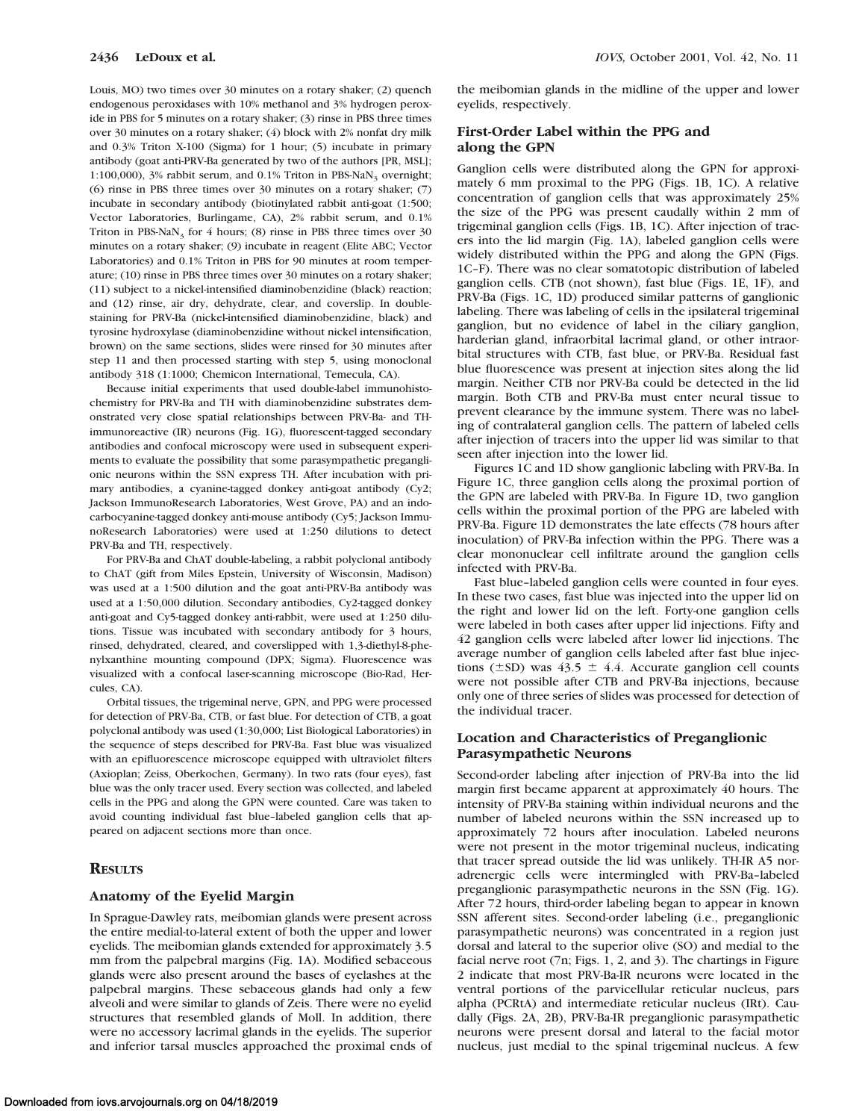Louis, MO) two times over 30 minutes on a rotary shaker; (2) quench endogenous peroxidases with 10% methanol and 3% hydrogen peroxide in PBS for 5 minutes on a rotary shaker; (3) rinse in PBS three times over 30 minutes on a rotary shaker; (4) block with 2% nonfat dry milk and 0.3% Triton X-100 (Sigma) for 1 hour; (5) incubate in primary antibody (goat anti-PRV-Ba generated by two of the authors [PR, MSL]; 1:100,000),  $3\%$  rabbit serum, and 0.1% Triton in PBS-NaN<sub>3</sub> overnight; (6) rinse in PBS three times over 30 minutes on a rotary shaker; (7) incubate in secondary antibody (biotinylated rabbit anti-goat (1:500; Vector Laboratories, Burlingame, CA), 2% rabbit serum, and 0.1% Triton in PBS-NaN<sub>3</sub> for 4 hours; (8) rinse in PBS three times over 30 minutes on a rotary shaker; (9) incubate in reagent (Elite ABC; Vector Laboratories) and 0.1% Triton in PBS for 90 minutes at room temperature; (10) rinse in PBS three times over 30 minutes on a rotary shaker; (11) subject to a nickel-intensified diaminobenzidine (black) reaction; and (12) rinse, air dry, dehydrate, clear, and coverslip. In doublestaining for PRV-Ba (nickel-intensified diaminobenzidine, black) and tyrosine hydroxylase (diaminobenzidine without nickel intensification, brown) on the same sections, slides were rinsed for 30 minutes after step 11 and then processed starting with step 5, using monoclonal antibody 318 (1:1000; Chemicon International, Temecula, CA).

Because initial experiments that used double-label immunohistochemistry for PRV-Ba and TH with diaminobenzidine substrates demonstrated very close spatial relationships between PRV-Ba- and THimmunoreactive (IR) neurons (Fig. 1G), fluorescent-tagged secondary antibodies and confocal microscopy were used in subsequent experiments to evaluate the possibility that some parasympathetic preganglionic neurons within the SSN express TH. After incubation with primary antibodies, a cyanine-tagged donkey anti-goat antibody (Cy2; Jackson ImmunoResearch Laboratories, West Grove, PA) and an indocarbocyanine-tagged donkey anti-mouse antibody (Cy5; Jackson ImmunoResearch Laboratories) were used at 1:250 dilutions to detect PRV-Ba and TH, respectively.

For PRV-Ba and ChAT double-labeling, a rabbit polyclonal antibody to ChAT (gift from Miles Epstein, University of Wisconsin, Madison) was used at a 1:500 dilution and the goat anti-PRV-Ba antibody was used at a 1:50,000 dilution. Secondary antibodies, Cy2-tagged donkey anti-goat and Cy5-tagged donkey anti-rabbit, were used at 1:250 dilutions. Tissue was incubated with secondary antibody for 3 hours, rinsed, dehydrated, cleared, and coverslipped with 1,3-diethyl-8-phenylxanthine mounting compound (DPX; Sigma). Fluorescence was visualized with a confocal laser-scanning microscope (Bio-Rad, Hercules, CA).

Orbital tissues, the trigeminal nerve, GPN, and PPG were processed for detection of PRV-Ba, CTB, or fast blue. For detection of CTB, a goat polyclonal antibody was used (1:30,000; List Biological Laboratories) in the sequence of steps described for PRV-Ba. Fast blue was visualized with an epifluorescence microscope equipped with ultraviolet filters (Axioplan; Zeiss, Oberkochen, Germany). In two rats (four eyes), fast blue was the only tracer used. Every section was collected, and labeled cells in the PPG and along the GPN were counted. Care was taken to avoid counting individual fast blue–labeled ganglion cells that appeared on adjacent sections more than once.

## **RESULTS**

## **Anatomy of the Eyelid Margin**

In Sprague-Dawley rats, meibomian glands were present across the entire medial-to-lateral extent of both the upper and lower eyelids. The meibomian glands extended for approximately 3.5 mm from the palpebral margins (Fig. 1A). Modified sebaceous glands were also present around the bases of eyelashes at the palpebral margins. These sebaceous glands had only a few alveoli and were similar to glands of Zeis. There were no eyelid structures that resembled glands of Moll. In addition, there were no accessory lacrimal glands in the eyelids. The superior and inferior tarsal muscles approached the proximal ends of

the meibomian glands in the midline of the upper and lower eyelids, respectively.

## **First-Order Label within the PPG and along the GPN**

Ganglion cells were distributed along the GPN for approximately 6 mm proximal to the PPG (Figs. 1B, 1C). A relative concentration of ganglion cells that was approximately 25% the size of the PPG was present caudally within 2 mm of trigeminal ganglion cells (Figs. 1B, 1C). After injection of tracers into the lid margin (Fig. 1A), labeled ganglion cells were widely distributed within the PPG and along the GPN (Figs. 1C–F). There was no clear somatotopic distribution of labeled ganglion cells. CTB (not shown), fast blue (Figs. 1E, 1F), and PRV-Ba (Figs. 1C, 1D) produced similar patterns of ganglionic labeling. There was labeling of cells in the ipsilateral trigeminal ganglion, but no evidence of label in the ciliary ganglion, harderian gland, infraorbital lacrimal gland, or other intraorbital structures with CTB, fast blue, or PRV-Ba. Residual fast blue fluorescence was present at injection sites along the lid margin. Neither CTB nor PRV-Ba could be detected in the lid margin. Both CTB and PRV-Ba must enter neural tissue to prevent clearance by the immune system. There was no labeling of contralateral ganglion cells. The pattern of labeled cells after injection of tracers into the upper lid was similar to that seen after injection into the lower lid.

Figures 1C and 1D show ganglionic labeling with PRV-Ba. In Figure 1C, three ganglion cells along the proximal portion of the GPN are labeled with PRV-Ba. In Figure 1D, two ganglion cells within the proximal portion of the PPG are labeled with PRV-Ba. Figure 1D demonstrates the late effects (78 hours after inoculation) of PRV-Ba infection within the PPG. There was a clear mononuclear cell infiltrate around the ganglion cells infected with PRV-Ba.

Fast blue–labeled ganglion cells were counted in four eyes. In these two cases, fast blue was injected into the upper lid on the right and lower lid on the left. Forty-one ganglion cells were labeled in both cases after upper lid injections. Fifty and 42 ganglion cells were labeled after lower lid injections. The average number of ganglion cells labeled after fast blue injections ( $\pm$ SD) was 43.5  $\pm$  4.4. Accurate ganglion cell counts were not possible after CTB and PRV-Ba injections, because only one of three series of slides was processed for detection of the individual tracer.

## **Location and Characteristics of Preganglionic Parasympathetic Neurons**

Second-order labeling after injection of PRV-Ba into the lid margin first became apparent at approximately 40 hours. The intensity of PRV-Ba staining within individual neurons and the number of labeled neurons within the SSN increased up to approximately 72 hours after inoculation. Labeled neurons were not present in the motor trigeminal nucleus, indicating that tracer spread outside the lid was unlikely. TH-IR A5 noradrenergic cells were intermingled with PRV-Ba–labeled preganglionic parasympathetic neurons in the SSN (Fig. 1G). After 72 hours, third-order labeling began to appear in known SSN afferent sites. Second-order labeling (i.e., preganglionic parasympathetic neurons) was concentrated in a region just dorsal and lateral to the superior olive (SO) and medial to the facial nerve root (7n; Figs. 1, 2, and 3). The chartings in Figure 2 indicate that most PRV-Ba-IR neurons were located in the ventral portions of the parvicellular reticular nucleus, pars alpha (PCRtA) and intermediate reticular nucleus (IRt). Caudally (Figs. 2A, 2B), PRV-Ba-IR preganglionic parasympathetic neurons were present dorsal and lateral to the facial motor nucleus, just medial to the spinal trigeminal nucleus. A few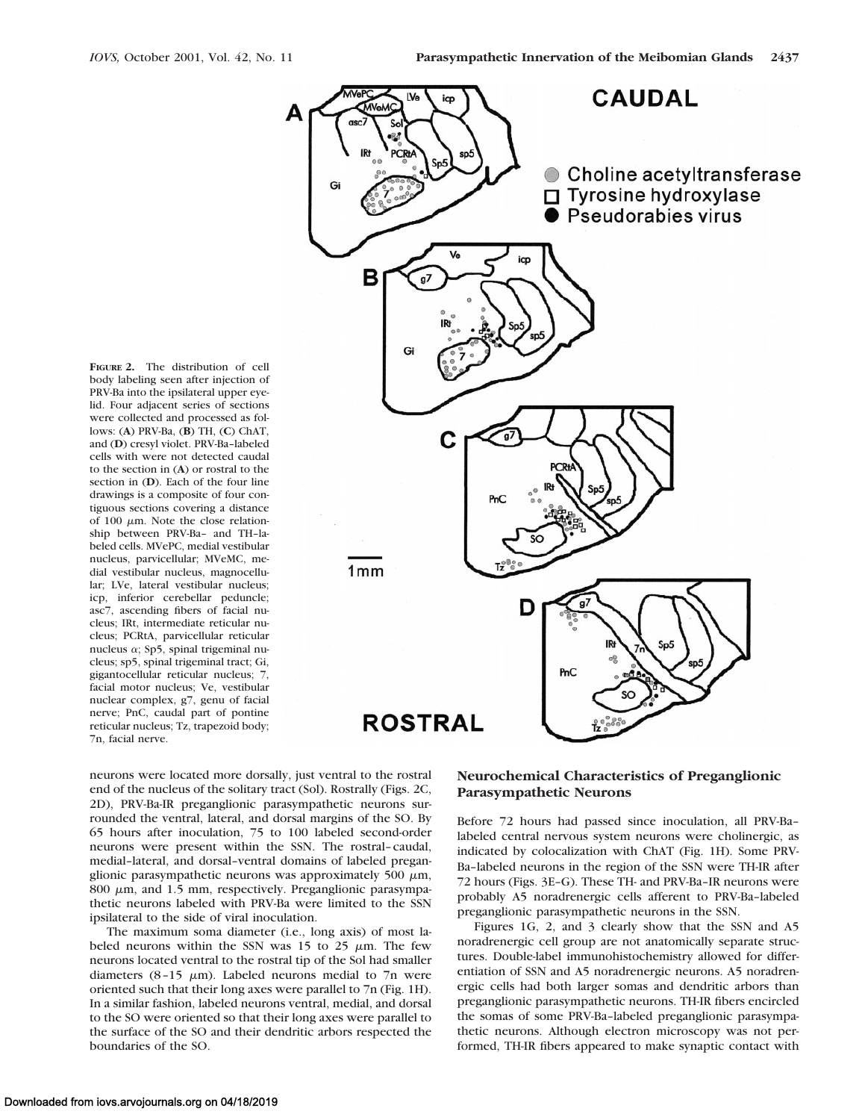

body labeling seen after injection of PRV-Ba into the ipsilateral upper eyelid. Four adjacent series of sections were collected and processed as follows: (**A**) PRV-Ba, (**B**) TH, (**C**) ChAT, and (**D**) cresyl violet. PRV-Ba–labeled cells with were not detected caudal to the section in (**A**) or rostral to the section in (**D**). Each of the four line drawings is a composite of four contiguous sections covering a distance of 100  $\mu$ m. Note the close relationship between PRV-Ba– and TH–labeled cells. MVePC, medial vestibular nucleus, parvicellular; MVeMC, medial vestibular nucleus, magnocellular; LVe, lateral vestibular nucleus; icp, inferior cerebellar peduncle; asc7, ascending fibers of facial nucleus; IRt, intermediate reticular nucleus; PCRtA, parvicellular reticular nucleus  $\alpha$ ; Sp5, spinal trigeminal nucleus; sp5, spinal trigeminal tract; Gi, gigantocellular reticular nucleus; 7, facial motor nucleus; Ve, vestibular nuclear complex, g7, genu of facial nerve; PnC, caudal part of pontine reticular nucleus; Tz, trapezoid body; 7n, facial nerve.

**FIGURE 2.** The distribution of cell

neurons were located more dorsally, just ventral to the rostral end of the nucleus of the solitary tract (Sol). Rostrally (Figs. 2C, 2D), PRV-Ba-IR preganglionic parasympathetic neurons surrounded the ventral, lateral, and dorsal margins of the SO. By 65 hours after inoculation, 75 to 100 labeled second-order neurons were present within the SSN. The rostral–caudal, medial–lateral, and dorsal–ventral domains of labeled preganglionic parasympathetic neurons was approximately 500  $\mu$ m, 800  $\mu$ m, and 1.5 mm, respectively. Preganglionic parasympathetic neurons labeled with PRV-Ba were limited to the SSN ipsilateral to the side of viral inoculation.

The maximum soma diameter (i.e., long axis) of most labeled neurons within the SSN was 15 to 25  $\mu$ m. The few neurons located ventral to the rostral tip of the Sol had smaller diameters  $(8-15 \mu m)$ . Labeled neurons medial to 7n were oriented such that their long axes were parallel to 7n (Fig. 1H). In a similar fashion, labeled neurons ventral, medial, and dorsal to the SO were oriented so that their long axes were parallel to the surface of the SO and their dendritic arbors respected the boundaries of the SO.

## **Neurochemical Characteristics of Preganglionic Parasympathetic Neurons**

Before 72 hours had passed since inoculation, all PRV-Ba– labeled central nervous system neurons were cholinergic, as indicated by colocalization with ChAT (Fig. 1H). Some PRV-Ba–labeled neurons in the region of the SSN were TH-IR after 72 hours (Figs. 3E–G). These TH- and PRV-Ba–IR neurons were probably A5 noradrenergic cells afferent to PRV-Ba–labeled preganglionic parasympathetic neurons in the SSN.

Figures 1G, 2, and 3 clearly show that the SSN and A5 noradrenergic cell group are not anatomically separate structures. Double-label immunohistochemistry allowed for differentiation of SSN and A5 noradrenergic neurons. A5 noradrenergic cells had both larger somas and dendritic arbors than preganglionic parasympathetic neurons. TH-IR fibers encircled the somas of some PRV-Ba–labeled preganglionic parasympathetic neurons. Although electron microscopy was not performed, TH-IR fibers appeared to make synaptic contact with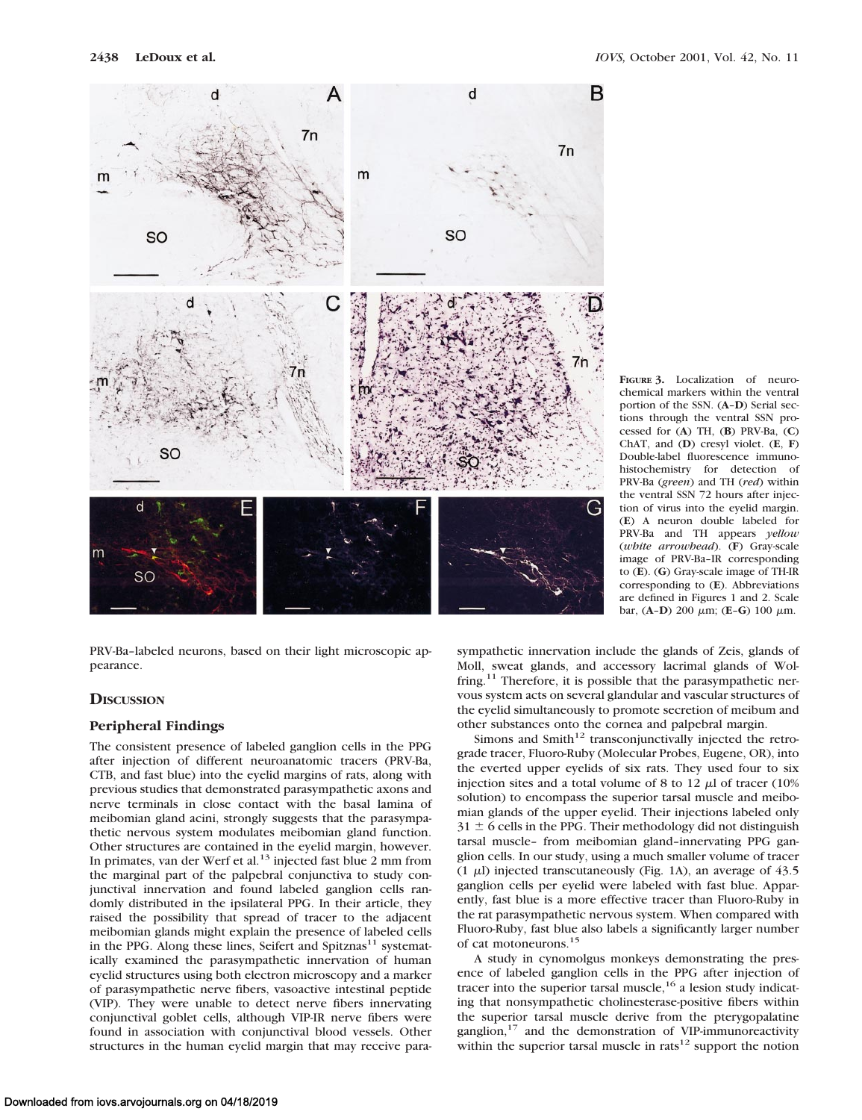

**FIGURE 3.** Localization of neurochemical markers within the ventral portion of the SSN. (**A**–**D**) Serial sections through the ventral SSN processed for (**A**) TH, (**B**) PRV-Ba, (**C**) ChAT, and (**D**) cresyl violet. (**E**, **F**) Double-label fluorescence immunohistochemistry for detection of PRV-Ba (*green*) and TH (*red*) within the ventral SSN 72 hours after injection of virus into the eyelid margin. (**E**) A neuron double labeled for PRV-Ba and TH appears *yellow* (*white arrowhead*). (**F**) Gray-scale image of PRV-Ba–IR corresponding to (**E**). (**G**) Gray-scale image of TH-IR corresponding to (**E**). Abbreviations are defined in Figures 1 and 2. Scale bar, (**A**–**D**) 200 <sup>m</sup>m; (**E**–**G**) 100 <sup>m</sup>m.

PRV-Ba–labeled neurons, based on their light microscopic appearance.

## **DISCUSSION**

SO

## **Peripheral Findings**

The consistent presence of labeled ganglion cells in the PPG after injection of different neuroanatomic tracers (PRV-Ba, CTB, and fast blue) into the eyelid margins of rats, along with previous studies that demonstrated parasympathetic axons and nerve terminals in close contact with the basal lamina of meibomian gland acini, strongly suggests that the parasympathetic nervous system modulates meibomian gland function. Other structures are contained in the eyelid margin, however. In primates, van der Werf et al.<sup>13</sup> injected fast blue 2 mm from the marginal part of the palpebral conjunctiva to study conjunctival innervation and found labeled ganglion cells randomly distributed in the ipsilateral PPG. In their article, they raised the possibility that spread of tracer to the adjacent meibomian glands might explain the presence of labeled cells in the PPG. Along these lines, Seifert and Spitznas $^{11}$  systematically examined the parasympathetic innervation of human eyelid structures using both electron microscopy and a marker of parasympathetic nerve fibers, vasoactive intestinal peptide (VIP). They were unable to detect nerve fibers innervating conjunctival goblet cells, although VIP-IR nerve fibers were found in association with conjunctival blood vessels. Other structures in the human eyelid margin that may receive parasympathetic innervation include the glands of Zeis, glands of Moll, sweat glands, and accessory lacrimal glands of Wolfring.<sup>11</sup> Therefore, it is possible that the parasympathetic nervous system acts on several glandular and vascular structures of the eyelid simultaneously to promote secretion of meibum and other substances onto the cornea and palpebral margin.

Simons and Smith $12$  transconjunctivally injected the retrograde tracer, Fluoro-Ruby (Molecular Probes, Eugene, OR), into the everted upper eyelids of six rats. They used four to six injection sites and a total volume of 8 to 12  $\mu$ l of tracer (10%) solution) to encompass the superior tarsal muscle and meibomian glands of the upper eyelid. Their injections labeled only  $31 \pm 6$  cells in the PPG. Their methodology did not distinguish tarsal muscle– from meibomian gland–innervating PPG ganglion cells. In our study, using a much smaller volume of tracer (1  $\mu$ l) injected transcutaneously (Fig. 1A), an average of 43.5 ganglion cells per eyelid were labeled with fast blue. Apparently, fast blue is a more effective tracer than Fluoro-Ruby in the rat parasympathetic nervous system. When compared with Fluoro-Ruby, fast blue also labels a significantly larger number of cat motoneurons.15

A study in cynomolgus monkeys demonstrating the presence of labeled ganglion cells in the PPG after injection of tracer into the superior tarsal muscle,<sup>16</sup> a lesion study indicating that nonsympathetic cholinesterase-positive fibers within the superior tarsal muscle derive from the pterygopalatine ganglion,<sup>17</sup> and the demonstration of VIP-immunoreactivity within the superior tarsal muscle in  $\text{rats}^{12}$  support the notion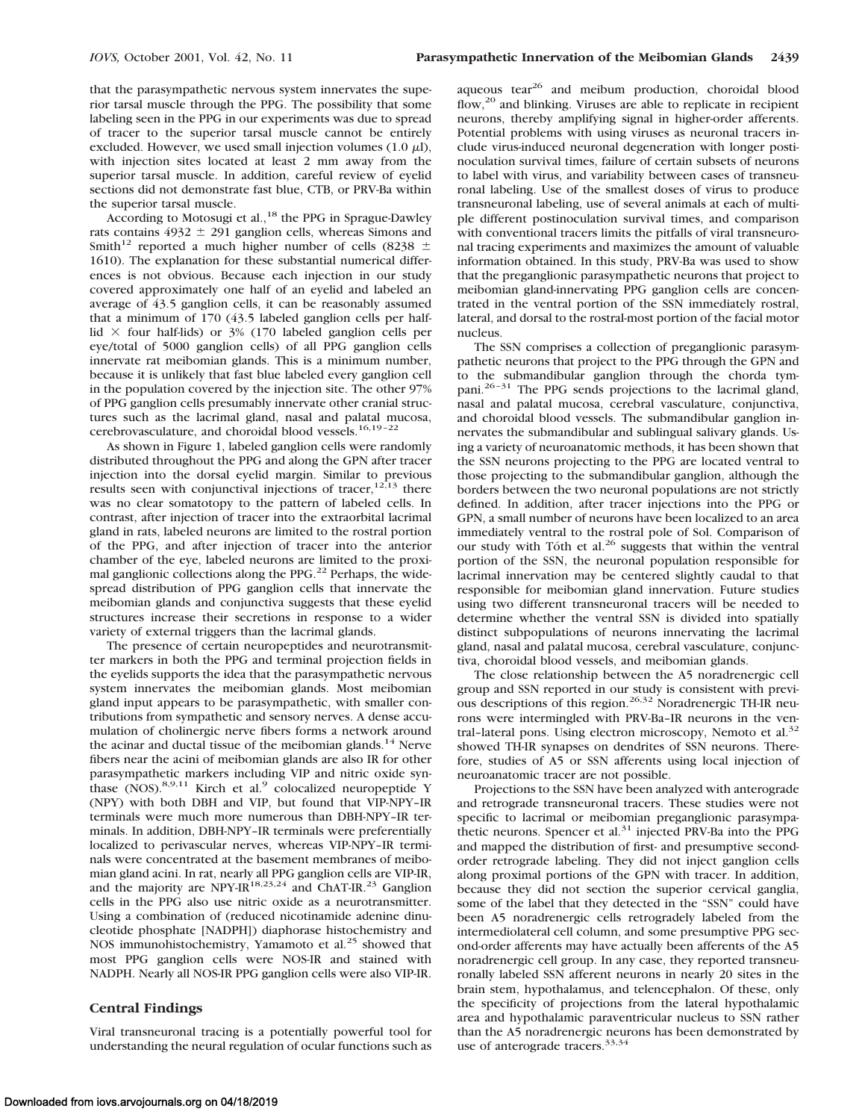that the parasympathetic nervous system innervates the superior tarsal muscle through the PPG. The possibility that some labeling seen in the PPG in our experiments was due to spread of tracer to the superior tarsal muscle cannot be entirely excluded. However, we used small injection volumes (1.0  $\mu$ l), with injection sites located at least 2 mm away from the superior tarsal muscle. In addition, careful review of eyelid sections did not demonstrate fast blue, CTB, or PRV-Ba within the superior tarsal muscle.

According to Motosugi et al.,<sup>18</sup> the PPG in Sprague-Dawley rats contains  $4932 \pm 291$  ganglion cells, whereas Simons and Smith<sup>12</sup> reported a much higher number of cells (8238  $\pm$ 1610). The explanation for these substantial numerical differences is not obvious. Because each injection in our study covered approximately one half of an eyelid and labeled an average of 43.5 ganglion cells, it can be reasonably assumed that a minimum of 170 (43.5 labeled ganglion cells per halflid  $\times$  four half-lids) or 3% (170 labeled ganglion cells per eye/total of 5000 ganglion cells) of all PPG ganglion cells innervate rat meibomian glands. This is a minimum number, because it is unlikely that fast blue labeled every ganglion cell in the population covered by the injection site. The other 97% of PPG ganglion cells presumably innervate other cranial structures such as the lacrimal gland, nasal and palatal mucosa, cerebrovasculature, and choroidal blood vessels.<sup>16,19-22</sup>

As shown in Figure 1, labeled ganglion cells were randomly distributed throughout the PPG and along the GPN after tracer injection into the dorsal eyelid margin. Similar to previous results seen with conjunctival injections of tracer,<sup>12,13</sup> there was no clear somatotopy to the pattern of labeled cells. In contrast, after injection of tracer into the extraorbital lacrimal gland in rats, labeled neurons are limited to the rostral portion of the PPG, and after injection of tracer into the anterior chamber of the eye, labeled neurons are limited to the proximal ganglionic collections along the PPG.<sup>22</sup> Perhaps, the widespread distribution of PPG ganglion cells that innervate the meibomian glands and conjunctiva suggests that these eyelid structures increase their secretions in response to a wider variety of external triggers than the lacrimal glands.

The presence of certain neuropeptides and neurotransmitter markers in both the PPG and terminal projection fields in the eyelids supports the idea that the parasympathetic nervous system innervates the meibomian glands. Most meibomian gland input appears to be parasympathetic, with smaller contributions from sympathetic and sensory nerves. A dense accumulation of cholinergic nerve fibers forms a network around the acinar and ductal tissue of the meibomian glands.<sup>14</sup> Nerve fibers near the acini of meibomian glands are also IR for other parasympathetic markers including VIP and nitric oxide synthase (NOS).<sup>8,9,11</sup> Kirch et al.<sup>9</sup> colocalized neuropeptide Y (NPY) with both DBH and VIP, but found that VIP-NPY–IR terminals were much more numerous than DBH-NPY–IR terminals. In addition, DBH-NPY–IR terminals were preferentially localized to perivascular nerves, whereas VIP-NPY–IR terminals were concentrated at the basement membranes of meibomian gland acini. In rat, nearly all PPG ganglion cells are VIP-IR, and the majority are NPY-IR<sup>18,23,24</sup> and ChAT-IR.<sup>23</sup> Ganglion cells in the PPG also use nitric oxide as a neurotransmitter. Using a combination of (reduced nicotinamide adenine dinucleotide phosphate [NADPH]) diaphorase histochemistry and NOS immunohistochemistry, Yamamoto et al.<sup>25</sup> showed that most PPG ganglion cells were NOS-IR and stained with NADPH. Nearly all NOS-IR PPG ganglion cells were also VIP-IR.

## **Central Findings**

Viral transneuronal tracing is a potentially powerful tool for understanding the neural regulation of ocular functions such as

aqueous tear<sup>26</sup> and meibum production, choroidal blood flow,<sup>20</sup> and blinking. Viruses are able to replicate in recipient neurons, thereby amplifying signal in higher-order afferents. Potential problems with using viruses as neuronal tracers include virus-induced neuronal degeneration with longer postinoculation survival times, failure of certain subsets of neurons to label with virus, and variability between cases of transneuronal labeling. Use of the smallest doses of virus to produce transneuronal labeling, use of several animals at each of multiple different postinoculation survival times, and comparison with conventional tracers limits the pitfalls of viral transneuronal tracing experiments and maximizes the amount of valuable information obtained. In this study, PRV-Ba was used to show that the preganglionic parasympathetic neurons that project to meibomian gland-innervating PPG ganglion cells are concentrated in the ventral portion of the SSN immediately rostral, lateral, and dorsal to the rostral-most portion of the facial motor nucleus.

The SSN comprises a collection of preganglionic parasympathetic neurons that project to the PPG through the GPN and to the submandibular ganglion through the chorda tympani.26–31 The PPG sends projections to the lacrimal gland, nasal and palatal mucosa, cerebral vasculature, conjunctiva, and choroidal blood vessels. The submandibular ganglion innervates the submandibular and sublingual salivary glands. Using a variety of neuroanatomic methods, it has been shown that the SSN neurons projecting to the PPG are located ventral to those projecting to the submandibular ganglion, although the borders between the two neuronal populations are not strictly defined. In addition, after tracer injections into the PPG or GPN, a small number of neurons have been localized to an area immediately ventral to the rostral pole of Sol. Comparison of our study with Toth et al. $26$  suggests that within the ventral portion of the SSN, the neuronal population responsible for lacrimal innervation may be centered slightly caudal to that responsible for meibomian gland innervation. Future studies using two different transneuronal tracers will be needed to determine whether the ventral SSN is divided into spatially distinct subpopulations of neurons innervating the lacrimal gland, nasal and palatal mucosa, cerebral vasculature, conjunctiva, choroidal blood vessels, and meibomian glands.

The close relationship between the A5 noradrenergic cell group and SSN reported in our study is consistent with previ- $\frac{1}{2}$  ous descriptions of this region.<sup>26,32</sup> Noradrenergic TH-IR neurons were intermingled with PRV-Ba–IR neurons in the ventral-lateral pons. Using electron microscopy, Nemoto et al.<sup>32</sup> showed TH-IR synapses on dendrites of SSN neurons. Therefore, studies of A5 or SSN afferents using local injection of neuroanatomic tracer are not possible.

Projections to the SSN have been analyzed with anterograde and retrograde transneuronal tracers. These studies were not specific to lacrimal or meibomian preganglionic parasympathetic neurons. Spencer et al.<sup>31</sup> injected PRV-Ba into the PPG and mapped the distribution of first- and presumptive secondorder retrograde labeling. They did not inject ganglion cells along proximal portions of the GPN with tracer. In addition, because they did not section the superior cervical ganglia, some of the label that they detected in the "SSN" could have been A5 noradrenergic cells retrogradely labeled from the intermediolateral cell column, and some presumptive PPG second-order afferents may have actually been afferents of the A5 noradrenergic cell group. In any case, they reported transneuronally labeled SSN afferent neurons in nearly 20 sites in the brain stem, hypothalamus, and telencephalon. Of these, only the specificity of projections from the lateral hypothalamic area and hypothalamic paraventricular nucleus to SSN rather than the A5 noradrenergic neurons has been demonstrated by use of anterograde tracers.<sup>33,34</sup>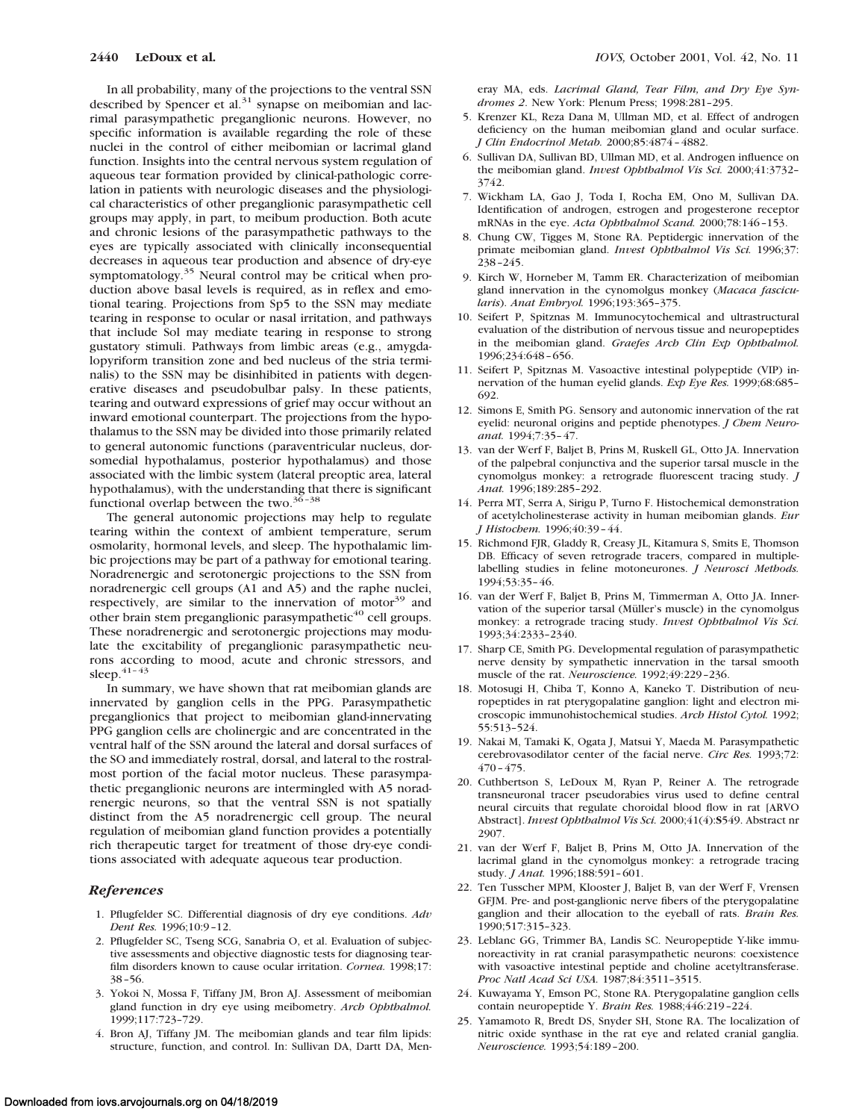In all probability, many of the projections to the ventral SSN described by Spencer et al. $31$  synapse on meibomian and lacrimal parasympathetic preganglionic neurons. However, no specific information is available regarding the role of these nuclei in the control of either meibomian or lacrimal gland function. Insights into the central nervous system regulation of aqueous tear formation provided by clinical-pathologic correlation in patients with neurologic diseases and the physiological characteristics of other preganglionic parasympathetic cell groups may apply, in part, to meibum production. Both acute and chronic lesions of the parasympathetic pathways to the eyes are typically associated with clinically inconsequential decreases in aqueous tear production and absence of dry-eye symptomatology.<sup>35</sup> Neural control may be critical when production above basal levels is required, as in reflex and emotional tearing. Projections from Sp5 to the SSN may mediate tearing in response to ocular or nasal irritation, and pathways that include Sol may mediate tearing in response to strong gustatory stimuli. Pathways from limbic areas (e.g., amygdalopyriform transition zone and bed nucleus of the stria terminalis) to the SSN may be disinhibited in patients with degenerative diseases and pseudobulbar palsy. In these patients, tearing and outward expressions of grief may occur without an inward emotional counterpart. The projections from the hypothalamus to the SSN may be divided into those primarily related to general autonomic functions (paraventricular nucleus, dorsomedial hypothalamus, posterior hypothalamus) and those associated with the limbic system (lateral preoptic area, lateral hypothalamus), with the understanding that there is significant functional overlap between the two. $3\overline{6}$ -38

The general autonomic projections may help to regulate tearing within the context of ambient temperature, serum osmolarity, hormonal levels, and sleep. The hypothalamic limbic projections may be part of a pathway for emotional tearing. Noradrenergic and serotonergic projections to the SSN from noradrenergic cell groups (A1 and A5) and the raphe nuclei, respectively, are similar to the innervation of motor<sup>39</sup> and other brain stem preganglionic parasympathetic $40$  cell groups. These noradrenergic and serotonergic projections may modulate the excitability of preganglionic parasympathetic neurons according to mood, acute and chronic stressors, and sleep. $41-43$ 

In summary, we have shown that rat meibomian glands are innervated by ganglion cells in the PPG. Parasympathetic preganglionics that project to meibomian gland-innervating PPG ganglion cells are cholinergic and are concentrated in the ventral half of the SSN around the lateral and dorsal surfaces of the SO and immediately rostral, dorsal, and lateral to the rostralmost portion of the facial motor nucleus. These parasympathetic preganglionic neurons are intermingled with A5 noradrenergic neurons, so that the ventral SSN is not spatially distinct from the A5 noradrenergic cell group. The neural regulation of meibomian gland function provides a potentially rich therapeutic target for treatment of those dry-eye conditions associated with adequate aqueous tear production.

#### *References*

- 1. Pflugfelder SC. Differential diagnosis of dry eye conditions. *Adv Dent Res.* 1996;10:9–12.
- 2. Pflugfelder SC, Tseng SCG, Sanabria O, et al. Evaluation of subjective assessments and objective diagnostic tests for diagnosing tearfilm disorders known to cause ocular irritation. *Cornea.* 1998;17: 38–56.
- 3. Yokoi N, Mossa F, Tiffany JM, Bron AJ. Assessment of meibomian gland function in dry eye using meibometry. *Arch Ophthalmol.* 1999;117:723–729.
- 4. Bron AJ, Tiffany JM. The meibomian glands and tear film lipids: structure, function, and control. In: Sullivan DA, Dartt DA, Men-

eray MA, eds. *Lacrimal Gland, Tear Film, and Dry Eye Syndromes 2*. New York: Plenum Press; 1998:281–295.

- 5. Krenzer KL, Reza Dana M, Ullman MD, et al. Effect of androgen deficiency on the human meibomian gland and ocular surface. *J Clin Endocrinol Metab.* 2000;85:4874–4882.
- 6. Sullivan DA, Sullivan BD, Ullman MD, et al. Androgen influence on the meibomian gland. *Invest Ophthalmol Vis Sci.* 2000;41:3732– 3742.
- 7. Wickham LA, Gao J, Toda I, Rocha EM, Ono M, Sullivan DA. Identification of androgen, estrogen and progesterone receptor mRNAs in the eye. *Acta Ophthalmol Scand.* 2000;78:146–153.
- 8. Chung CW, Tigges M, Stone RA. Peptidergic innervation of the primate meibomian gland. *Invest Ophthalmol Vis Sci.* 1996;37: 238–245.
- 9. Kirch W, Horneber M, Tamm ER. Characterization of meibomian gland innervation in the cynomolgus monkey (*Macaca fascicularis*). *Anat Embryol.* 1996;193:365–375.
- 10. Seifert P, Spitznas M. Immunocytochemical and ultrastructural evaluation of the distribution of nervous tissue and neuropeptides in the meibomian gland. *Graefes Arch Clin Exp Ophthalmol.* 1996;234:648–656.
- 11. Seifert P, Spitznas M. Vasoactive intestinal polypeptide (VIP) innervation of the human eyelid glands. *Exp Eye Res.* 1999;68:685– 692.
- 12. Simons E, Smith PG. Sensory and autonomic innervation of the rat eyelid: neuronal origins and peptide phenotypes. *J Chem Neuroanat.* 1994;7:35–47.
- 13. van der Werf F, Baljet B, Prins M, Ruskell GL, Otto JA. Innervation of the palpebral conjunctiva and the superior tarsal muscle in the cynomolgus monkey: a retrograde fluorescent tracing study. *J Anat.* 1996;189:285–292.
- 14. Perra MT, Serra A, Sirigu P, Turno F. Histochemical demonstration of acetylcholinesterase activity in human meibomian glands. *Eur J Histochem.* 1996;40:39–44.
- 15. Richmond FJR, Gladdy R, Creasy JL, Kitamura S, Smits E, Thomson DB. Efficacy of seven retrograde tracers, compared in multiplelabelling studies in feline motoneurones. *J Neurosci Methods.* 1994;53:35–46.
- 16. van der Werf F, Baljet B, Prins M, Timmerman A, Otto JA. Innervation of the superior tarsal (Müller's muscle) in the cynomolgus monkey: a retrograde tracing study. *Invest Ophthalmol Vis Sci.* 1993;34:2333–2340.
- 17. Sharp CE, Smith PG. Developmental regulation of parasympathetic nerve density by sympathetic innervation in the tarsal smooth muscle of the rat. *Neuroscience.* 1992;49:229–236.
- 18. Motosugi H, Chiba T, Konno A, Kaneko T. Distribution of neuropeptides in rat pterygopalatine ganglion: light and electron microscopic immunohistochemical studies. *Arch Histol Cytol.* 1992; 55:513–524.
- 19. Nakai M, Tamaki K, Ogata J, Matsui Y, Maeda M. Parasympathetic cerebrovasodilator center of the facial nerve. *Circ Res.* 1993;72: 470–475.
- 20. Cuthbertson S, LeDoux M, Ryan P, Reiner A. The retrograde transneuronal tracer pseudorabies virus used to define central neural circuits that regulate choroidal blood flow in rat [ARVO Abstract]. *Invest Ophthalmol Vis Sci.* 2000;41(4):**S**549. Abstract nr 2907.
- 21. van der Werf F, Baljet B, Prins M, Otto JA. Innervation of the lacrimal gland in the cynomolgus monkey: a retrograde tracing study. *J Anat.* 1996;188:591–601.
- 22. Ten Tusscher MPM, Klooster J, Baljet B, van der Werf F, Vrensen GFJM. Pre- and post-ganglionic nerve fibers of the pterygopalatine ganglion and their allocation to the eyeball of rats. *Brain Res.* 1990;517:315–323.
- 23. Leblanc GG, Trimmer BA, Landis SC. Neuropeptide Y-like immunoreactivity in rat cranial parasympathetic neurons: coexistence with vasoactive intestinal peptide and choline acetyltransferase. *Proc Natl Acad Sci USA.* 1987;84:3511–3515.
- 24. Kuwayama Y, Emson PC, Stone RA. Pterygopalatine ganglion cells contain neuropeptide Y. *Brain Res.* 1988;446:219–224.
- 25. Yamamoto R, Bredt DS, Snyder SH, Stone RA. The localization of nitric oxide synthase in the rat eye and related cranial ganglia. *Neuroscience.* 1993;54:189–200.